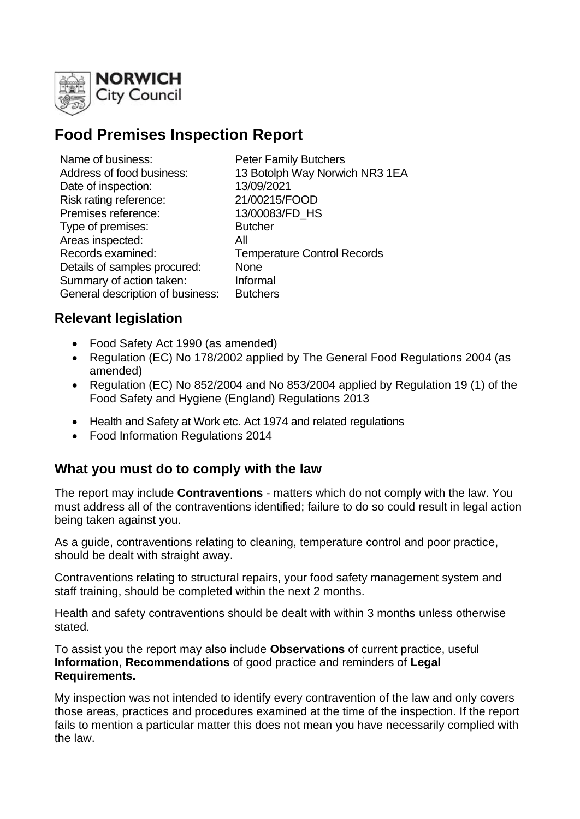

# **Food Premises Inspection Report**

| Name of business:                | <b>Peter Family Butchers</b>       |
|----------------------------------|------------------------------------|
| Address of food business:        | 13 Botolph Way Norwich NR3 1EA     |
| Date of inspection:              | 13/09/2021                         |
| Risk rating reference:           | 21/00215/FOOD                      |
| Premises reference:              | 13/00083/FD HS                     |
| Type of premises:                | <b>Butcher</b>                     |
| Areas inspected:                 | All                                |
| Records examined:                | <b>Temperature Control Records</b> |
| Details of samples procured:     | <b>None</b>                        |
| Summary of action taken:         | Informal                           |
| General description of business: | <b>Butchers</b>                    |
|                                  |                                    |

## **Relevant legislation**

- Food Safety Act 1990 (as amended)
- Regulation (EC) No 178/2002 applied by The General Food Regulations 2004 (as amended)
- Regulation (EC) No 852/2004 and No 853/2004 applied by Regulation 19 (1) of the Food Safety and Hygiene (England) Regulations 2013
- Health and Safety at Work etc. Act 1974 and related regulations
- Food Information Regulations 2014

## **What you must do to comply with the law**

The report may include **Contraventions** - matters which do not comply with the law. You must address all of the contraventions identified; failure to do so could result in legal action being taken against you.

As a guide, contraventions relating to cleaning, temperature control and poor practice, should be dealt with straight away.

Contraventions relating to structural repairs, your food safety management system and staff training, should be completed within the next 2 months.

Health and safety contraventions should be dealt with within 3 months unless otherwise stated.

To assist you the report may also include **Observations** of current practice, useful **Information**, **Recommendations** of good practice and reminders of **Legal Requirements.**

My inspection was not intended to identify every contravention of the law and only covers those areas, practices and procedures examined at the time of the inspection. If the report fails to mention a particular matter this does not mean you have necessarily complied with the law.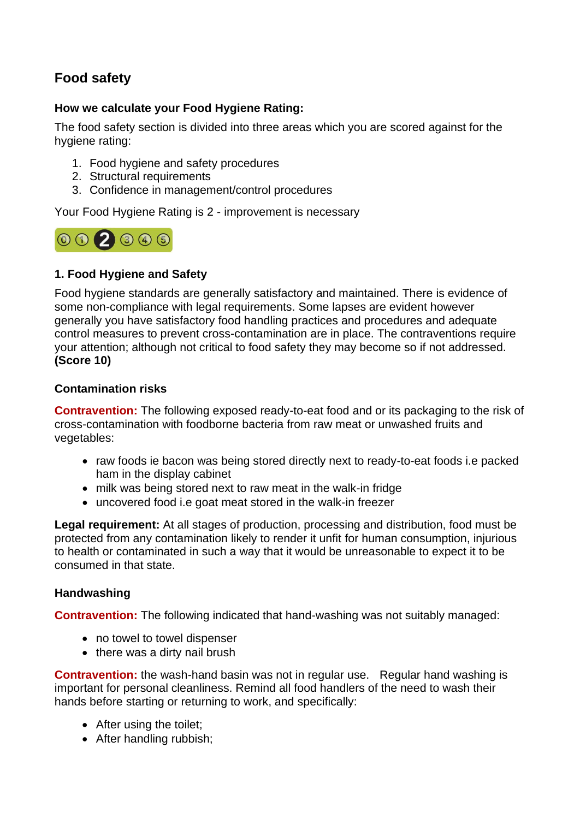# **Food safety**

#### **How we calculate your Food Hygiene Rating:**

The food safety section is divided into three areas which you are scored against for the hygiene rating:

- 1. Food hygiene and safety procedures
- 2. Structural requirements
- 3. Confidence in management/control procedures

Your Food Hygiene Rating is 2 - improvement is necessary



### **1. Food Hygiene and Safety**

Food hygiene standards are generally satisfactory and maintained. There is evidence of some non-compliance with legal requirements. Some lapses are evident however generally you have satisfactory food handling practices and procedures and adequate control measures to prevent cross-contamination are in place. The contraventions require your attention; although not critical to food safety they may become so if not addressed. **(Score 10)**

#### **Contamination risks**

**Contravention:** The following exposed ready-to-eat food and or its packaging to the risk of cross-contamination with foodborne bacteria from raw meat or unwashed fruits and vegetables:

- raw foods ie bacon was being stored directly next to ready-to-eat foods i.e packed ham in the display cabinet
- milk was being stored next to raw meat in the walk-in fridge
- uncovered food i.e goat meat stored in the walk-in freezer

**Legal requirement:** At all stages of production, processing and distribution, food must be protected from any contamination likely to render it unfit for human consumption, injurious to health or contaminated in such a way that it would be unreasonable to expect it to be consumed in that state.

#### **Handwashing**

**Contravention:** The following indicated that hand-washing was not suitably managed:

- no towel to towel dispenser
- there was a dirty nail brush

**Contravention:** the wash-hand basin was not in regular use. Regular hand washing is important for personal cleanliness. Remind all food handlers of the need to wash their hands before starting or returning to work, and specifically:

- After using the toilet;
- After handling rubbish;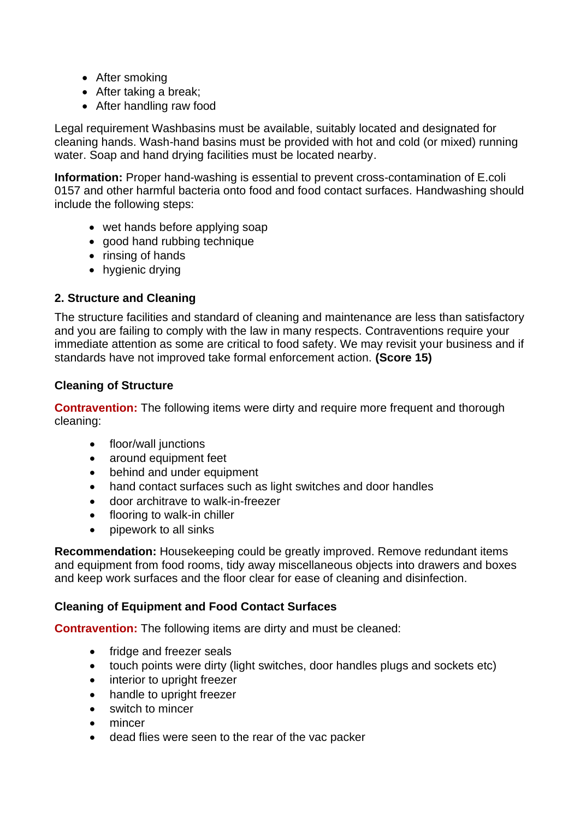- After smoking
- After taking a break:
- After handling raw food

Legal requirement Washbasins must be available, suitably located and designated for cleaning hands. Wash-hand basins must be provided with hot and cold (or mixed) running water. Soap and hand drying facilities must be located nearby.

**Information:** Proper hand-washing is essential to prevent cross-contamination of E.coli 0157 and other harmful bacteria onto food and food contact surfaces. Handwashing should include the following steps:

- wet hands before applying soap
- good hand rubbing technique
- rinsing of hands
- hygienic drying

### **2. Structure and Cleaning**

The structure facilities and standard of cleaning and maintenance are less than satisfactory and you are failing to comply with the law in many respects. Contraventions require your immediate attention as some are critical to food safety. We may revisit your business and if standards have not improved take formal enforcement action. **(Score 15)**

#### **Cleaning of Structure**

**Contravention:** The following items were dirty and require more frequent and thorough cleaning:

- floor/wall junctions
- around equipment feet
- behind and under equipment
- hand contact surfaces such as light switches and door handles
- door architrave to walk-in-freezer
- flooring to walk-in chiller
- pipework to all sinks

**Recommendation:** Housekeeping could be greatly improved. Remove redundant items and equipment from food rooms, tidy away miscellaneous objects into drawers and boxes and keep work surfaces and the floor clear for ease of cleaning and disinfection.

#### **Cleaning of Equipment and Food Contact Surfaces**

**Contravention:** The following items are dirty and must be cleaned:

- fridge and freezer seals
- touch points were dirty (light switches, door handles plugs and sockets etc)
- interior to upright freezer
- handle to upright freezer
- switch to mincer
- mincer
- dead flies were seen to the rear of the vac packer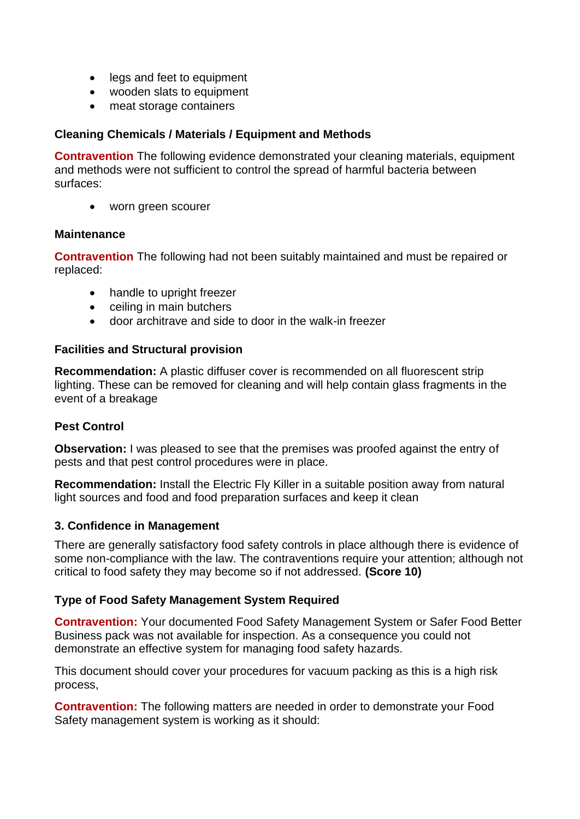- legs and feet to equipment
- wooden slats to equipment
- meat storage containers

#### **Cleaning Chemicals / Materials / Equipment and Methods**

**Contravention** The following evidence demonstrated your cleaning materials, equipment and methods were not sufficient to control the spread of harmful bacteria between surfaces:

• worn green scourer

#### **Maintenance**

**Contravention** The following had not been suitably maintained and must be repaired or replaced:

- handle to upright freezer
- ceiling in main butchers
- door architrave and side to door in the walk-in freezer

#### **Facilities and Structural provision**

**Recommendation:** A plastic diffuser cover is recommended on all fluorescent strip lighting. These can be removed for cleaning and will help contain glass fragments in the event of a breakage

#### **Pest Control**

**Observation:** I was pleased to see that the premises was proofed against the entry of pests and that pest control procedures were in place.

**Recommendation:** Install the Electric Fly Killer in a suitable position away from natural light sources and food and food preparation surfaces and keep it clean

#### **3. Confidence in Management**

There are generally satisfactory food safety controls in place although there is evidence of some non-compliance with the law. The contraventions require your attention; although not critical to food safety they may become so if not addressed. **(Score 10)**

#### **Type of Food Safety Management System Required**

**Contravention:** Your documented Food Safety Management System or Safer Food Better Business pack was not available for inspection. As a consequence you could not demonstrate an effective system for managing food safety hazards.

This document should cover your procedures for vacuum packing as this is a high risk process,

**Contravention:** The following matters are needed in order to demonstrate your Food Safety management system is working as it should: